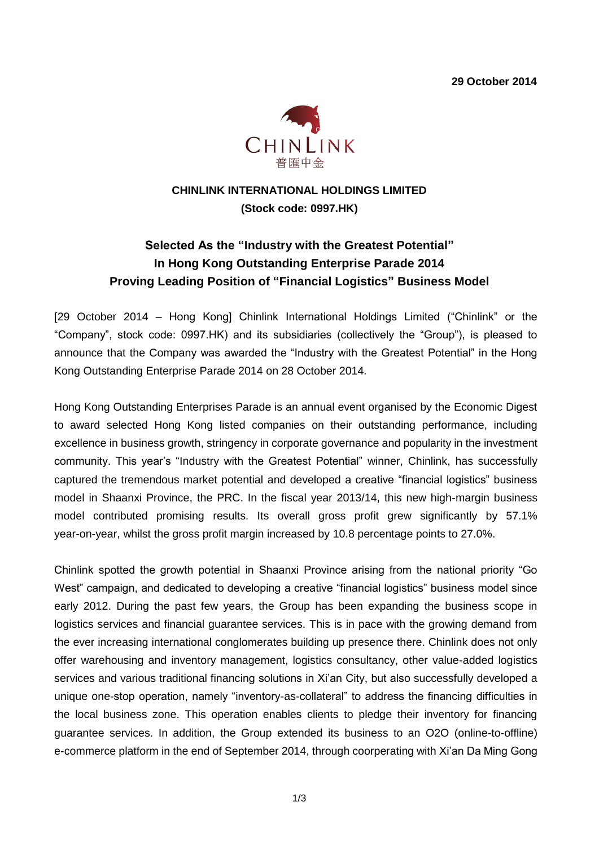**29 October 2014**



# **CHINLINK INTERNATIONAL HOLDINGS LIMITED (Stock code: 0997.HK)**

# **Selected As the "Industry with the Greatest Potential" In Hong Kong Outstanding Enterprise Parade 2014 Proving Leading Position of "Financial Logistics" Business Model**

[29 October 2014 – Hong Kong] Chinlink International Holdings Limited ("Chinlink" or the "Company", stock code: 0997.HK) and its subsidiaries (collectively the "Group"), is pleased to announce that the Company was awarded the "Industry with the Greatest Potential" in the Hong Kong Outstanding Enterprise Parade 2014 on 28 October 2014.

Hong Kong Outstanding Enterprises Parade is an annual event organised by the Economic Digest to award selected Hong Kong listed companies on their outstanding performance, including excellence in business growth, stringency in corporate governance and popularity in the investment community. This year's "Industry with the Greatest Potential" winner, Chinlink, has successfully captured the tremendous market potential and developed a creative "financial logistics" business model in Shaanxi Province, the PRC. In the fiscal year 2013/14, this new high-margin business model contributed promising results. Its overall gross profit grew significantly by 57.1% year-on-year, whilst the gross profit margin increased by 10.8 percentage points to 27.0%.

Chinlink spotted the growth potential in Shaanxi Province arising from the national priority "Go West" campaign, and dedicated to developing a creative "financial logistics" business model since early 2012. During the past few years, the Group has been expanding the business scope in logistics services and financial guarantee services. This is in pace with the growing demand from the ever increasing international conglomerates building up presence there. Chinlink does not only offer warehousing and inventory management, logistics consultancy, other value-added logistics services and various traditional financing solutions in Xi'an City, but also successfully developed a unique one-stop operation, namely "inventory-as-collateral" to address the financing difficulties in the local business zone. This operation enables clients to pledge their inventory for financing guarantee services. In addition, the Group extended its business to an O2O (online-to-offline) e-commerce platform in the end of September 2014, through coorperating with Xi'an Da Ming Gong